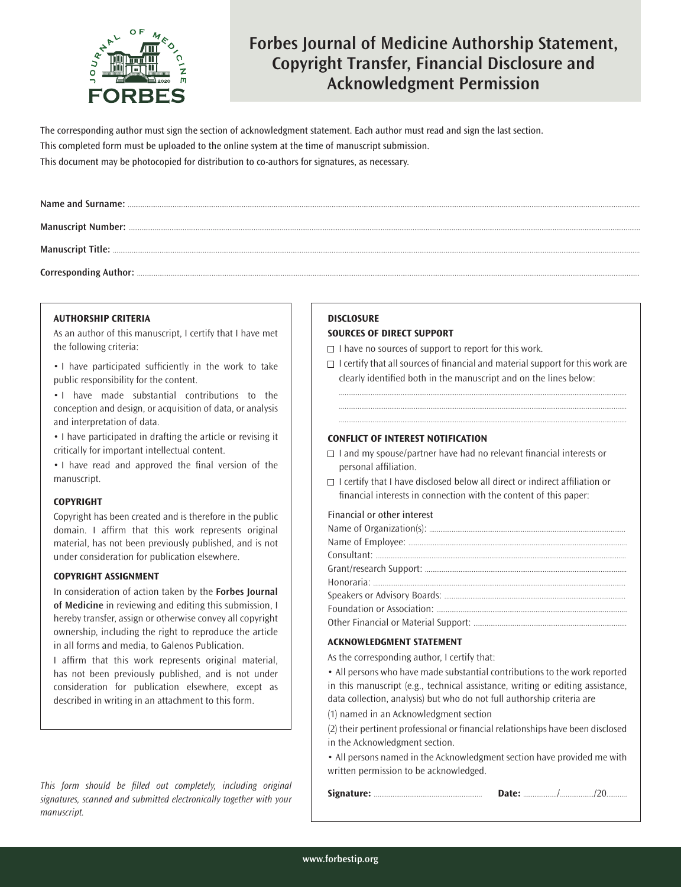

# **Forbes Journal of Medicine Authorship Statement, Copyright Transfer, Financial Disclosure and Acknowledgment Permission**

The corresponding author must sign the section of acknowledgment statement. Each author must read and sign the last section. This completed form must be uploaded to the online system at the time of manuscript submission. This document may be photocopied for distribution to co-authors for signatures, as necessary.

#### **AUTHORSHIP CRITERIA**

As an author of this manuscript, I certify that I have met the following criteria:

• I have participated sufficiently in the work to take public responsibility for the content.

• I have made substantial contributions to the conception and design, or acquisition of data, or analysis and interpretation of data.

• I have participated in drafting the article or revising it critically for important intellectual content.

• I have read and approved the final version of the manuscript.

#### **COPYRIGHT**

Copyright has been created and is therefore in the public domain. I affirm that this work represents original material, has not been previously published, and is not under consideration for publication elsewhere.

#### **COPYRIGHT ASSIGNMENT**

In consideration of action taken by the **Forbes Journal of Medicine** in reviewing and editing this submission, I hereby transfer, assign or otherwise convey all copyright ownership, including the right to reproduce the article in all forms and media, to Galenos Publication.

I affirm that this work represents original material, has not been previously published, and is not under consideration for publication elsewhere, except as described in writing in an attachment to this form.

This form should be filled out completely, including original signatures, scanned and submitted electronically together with your manuscript.

### **DISCLOSURE**

### **SOURCES OF DIRECT SUPPORT**

 $\Box$  I have no sources of support to report for this work.

 $\Box$  I certify that all sources of financial and material support for this work are clearly identified both in the manuscript and on the lines below:

.......................................................................................................................................................... .......................................................................................................................................................... ..........................................................................................................................................................

#### **CONFLICT OF INTEREST NOTIFICATION**

- $\Box$  I and my spouse/partner have had no relevant financial interests or personal affiliation.
- $\Box$  I certify that I have disclosed below all direct or indirect affiliation or financial interests in connection with the content of this paper:

#### Financial or other interest

#### **ACKNOWLEDGMENT STATEMENT**

As the corresponding author, I certify that:

• All persons who have made substantial contributions to the work reported in this manuscript (e.g., technical assistance, writing or editing assistance, data collection, analysis) but who do not full authorship criteria are

(1) named in an Acknowledgment section

(2) their pertinent professional or financial relationships have been disclosed in the Acknowledgment section.

• All persons named in the Acknowledgment section have provided me with written permission to be acknowledged.

|--|--|--|